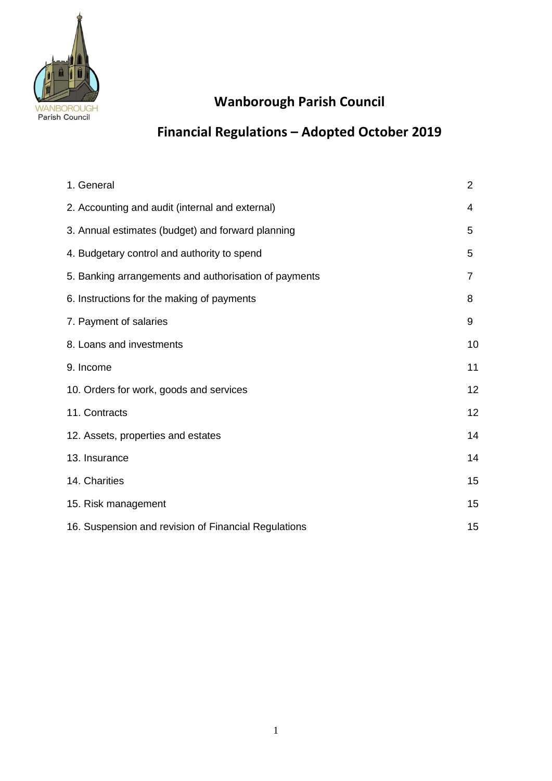

# **Wanborough Parish Council**

# **Financial Regulations – Adopted October 2019**

| 1. General                                            | 2              |
|-------------------------------------------------------|----------------|
| 2. Accounting and audit (internal and external)       | 4              |
| 3. Annual estimates (budget) and forward planning     | 5              |
| 4. Budgetary control and authority to spend           | 5              |
| 5. Banking arrangements and authorisation of payments | $\overline{7}$ |
| 6. Instructions for the making of payments            | 8              |
| 7. Payment of salaries                                | 9              |
| 8. Loans and investments                              | 10             |
| 9. Income                                             | 11             |
| 10. Orders for work, goods and services               | 12             |
| 11. Contracts                                         | 12             |
| 12. Assets, properties and estates                    | 14             |
| 13. Insurance                                         | 14             |
| 14. Charities                                         | 15             |
| 15. Risk management                                   | 15             |
| 16. Suspension and revision of Financial Regulations  | 15             |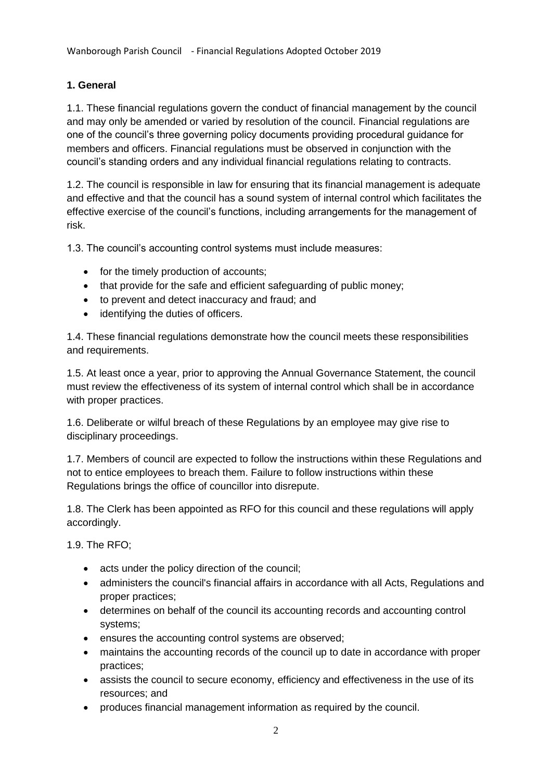# **1. General**

1.1. These financial regulations govern the conduct of financial management by the council and may only be amended or varied by resolution of the council. Financial regulations are one of the council's three governing policy documents providing procedural guidance for members and officers. Financial regulations must be observed in conjunction with the council's standing orders and any individual financial regulations relating to contracts.

1.2. The council is responsible in law for ensuring that its financial management is adequate and effective and that the council has a sound system of internal control which facilitates the effective exercise of the council's functions, including arrangements for the management of risk.

1.3. The council's accounting control systems must include measures:

- for the timely production of accounts:
- that provide for the safe and efficient safeguarding of public money;
- to prevent and detect inaccuracy and fraud; and
- identifying the duties of officers.

1.4. These financial regulations demonstrate how the council meets these responsibilities and requirements.

1.5. At least once a year, prior to approving the Annual Governance Statement, the council must review the effectiveness of its system of internal control which shall be in accordance with proper practices.

1.6. Deliberate or wilful breach of these Regulations by an employee may give rise to disciplinary proceedings.

1.7. Members of council are expected to follow the instructions within these Regulations and not to entice employees to breach them. Failure to follow instructions within these Regulations brings the office of councillor into disrepute.

1.8. The Clerk has been appointed as RFO for this council and these regulations will apply accordingly.

1.9. The RFO;

- acts under the policy direction of the council;
- administers the council's financial affairs in accordance with all Acts, Regulations and proper practices;
- determines on behalf of the council its accounting records and accounting control systems;
- ensures the accounting control systems are observed;
- maintains the accounting records of the council up to date in accordance with proper practices;
- assists the council to secure economy, efficiency and effectiveness in the use of its resources; and
- produces financial management information as required by the council.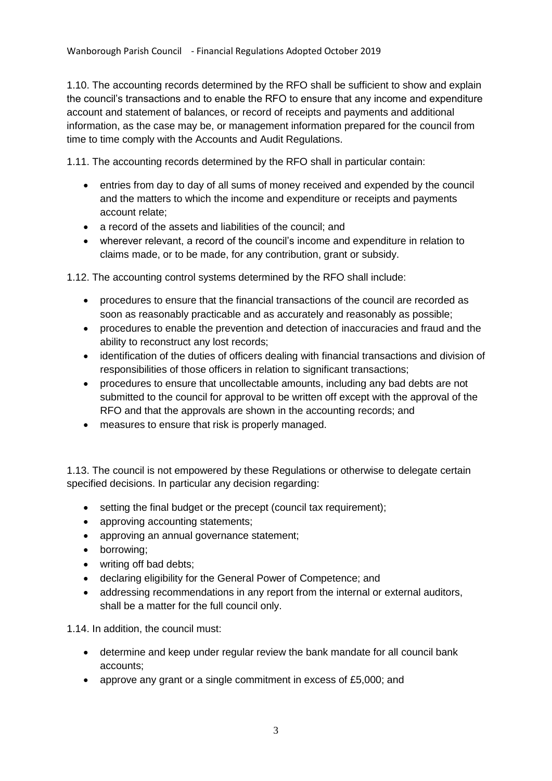1.10. The accounting records determined by the RFO shall be sufficient to show and explain the council's transactions and to enable the RFO to ensure that any income and expenditure account and statement of balances, or record of receipts and payments and additional information, as the case may be, or management information prepared for the council from time to time comply with the Accounts and Audit Regulations.

1.11. The accounting records determined by the RFO shall in particular contain:

- entries from day to day of all sums of money received and expended by the council and the matters to which the income and expenditure or receipts and payments account relate;
- a record of the assets and liabilities of the council; and
- wherever relevant, a record of the council's income and expenditure in relation to claims made, or to be made, for any contribution, grant or subsidy.

1.12. The accounting control systems determined by the RFO shall include:

- procedures to ensure that the financial transactions of the council are recorded as soon as reasonably practicable and as accurately and reasonably as possible;
- procedures to enable the prevention and detection of inaccuracies and fraud and the ability to reconstruct any lost records;
- identification of the duties of officers dealing with financial transactions and division of responsibilities of those officers in relation to significant transactions;
- procedures to ensure that uncollectable amounts, including any bad debts are not submitted to the council for approval to be written off except with the approval of the RFO and that the approvals are shown in the accounting records; and
- measures to ensure that risk is properly managed.

1.13. The council is not empowered by these Regulations or otherwise to delegate certain specified decisions. In particular any decision regarding:

- setting the final budget or the precept (council tax requirement):
- approving accounting statements;
- approving an annual governance statement;
- borrowing;
- writing off bad debts;
- declaring eligibility for the General Power of Competence; and
- addressing recommendations in any report from the internal or external auditors, shall be a matter for the full council only.

1.14. In addition, the council must:

- determine and keep under regular review the bank mandate for all council bank accounts;
- approve any grant or a single commitment in excess of £5,000; and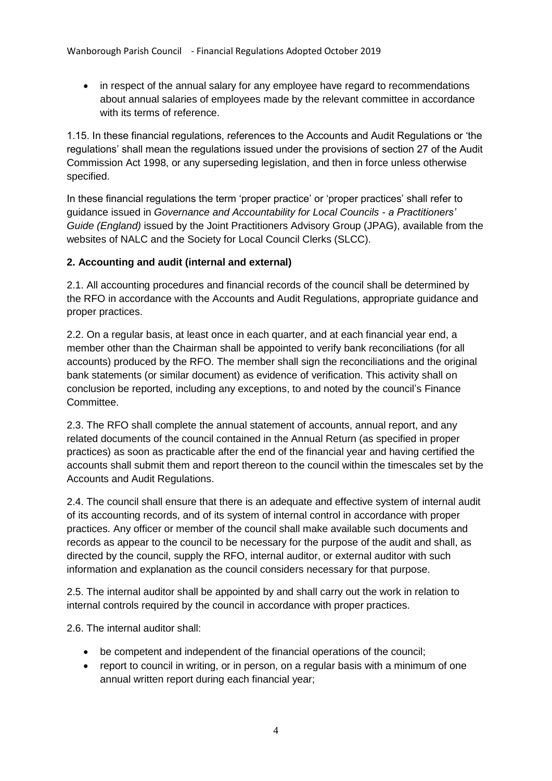• in respect of the annual salary for any employee have regard to recommendations about annual salaries of employees made by the relevant committee in accordance with its terms of reference.

1.15. In these financial regulations, references to the Accounts and Audit Regulations or 'the regulations' shall mean the regulations issued under the provisions of section 27 of the Audit Commission Act 1998, or any superseding legislation, and then in force unless otherwise specified.

In these financial regulations the term 'proper practice' or 'proper practices' shall refer to guidance issued in *Governance and Accountability for Local Councils - a Practitioners' Guide (England)* issued by the Joint Practitioners Advisory Group (JPAG), available from the websites of NALC and the Society for Local Council Clerks (SLCC).

#### **2. Accounting and audit (internal and external)**

2.1. All accounting procedures and financial records of the council shall be determined by the RFO in accordance with the Accounts and Audit Regulations, appropriate guidance and proper practices.

2.2. On a regular basis, at least once in each quarter, and at each financial year end, a member other than the Chairman shall be appointed to verify bank reconciliations (for all accounts) produced by the RFO. The member shall sign the reconciliations and the original bank statements (or similar document) as evidence of verification. This activity shall on conclusion be reported, including any exceptions, to and noted by the council's Finance Committee.

2.3. The RFO shall complete the annual statement of accounts, annual report, and any related documents of the council contained in the Annual Return (as specified in proper practices) as soon as practicable after the end of the financial year and having certified the accounts shall submit them and report thereon to the council within the timescales set by the Accounts and Audit Regulations.

2.4. The council shall ensure that there is an adequate and effective system of internal audit of its accounting records, and of its system of internal control in accordance with proper practices. Any officer or member of the council shall make available such documents and records as appear to the council to be necessary for the purpose of the audit and shall, as directed by the council, supply the RFO, internal auditor, or external auditor with such information and explanation as the council considers necessary for that purpose.

2.5. The internal auditor shall be appointed by and shall carry out the work in relation to internal controls required by the council in accordance with proper practices.

2.6. The internal auditor shall:

- be competent and independent of the financial operations of the council;
- report to council in writing, or in person, on a regular basis with a minimum of one annual written report during each financial year;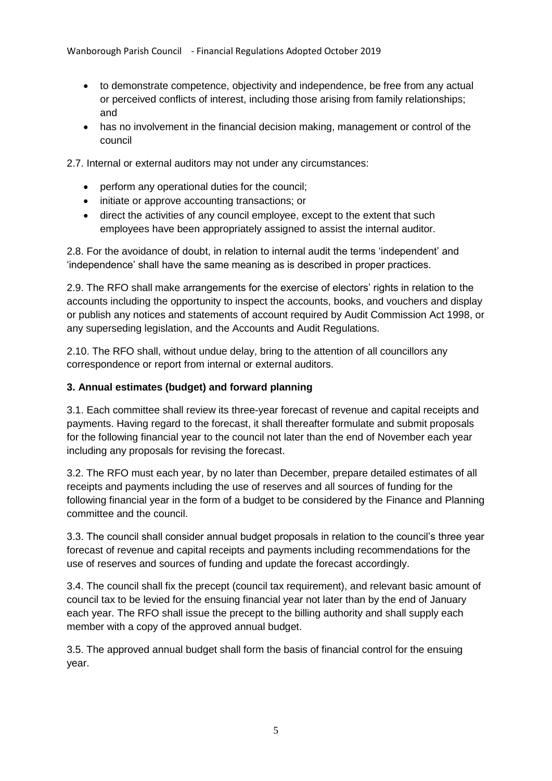- to demonstrate competence, objectivity and independence, be free from any actual or perceived conflicts of interest, including those arising from family relationships; and
- has no involvement in the financial decision making, management or control of the council

2.7. Internal or external auditors may not under any circumstances:

- perform any operational duties for the council;
- initiate or approve accounting transactions; or
- direct the activities of any council employee, except to the extent that such employees have been appropriately assigned to assist the internal auditor.

2.8. For the avoidance of doubt, in relation to internal audit the terms 'independent' and 'independence' shall have the same meaning as is described in proper practices.

2.9. The RFO shall make arrangements for the exercise of electors' rights in relation to the accounts including the opportunity to inspect the accounts, books, and vouchers and display or publish any notices and statements of account required by Audit Commission Act 1998, or any superseding legislation, and the Accounts and Audit Regulations.

2.10. The RFO shall, without undue delay, bring to the attention of all councillors any correspondence or report from internal or external auditors.

# **3. Annual estimates (budget) and forward planning**

3.1. Each committee shall review its three-year forecast of revenue and capital receipts and payments. Having regard to the forecast, it shall thereafter formulate and submit proposals for the following financial year to the council not later than the end of November each year including any proposals for revising the forecast.

3.2. The RFO must each year, by no later than December, prepare detailed estimates of all receipts and payments including the use of reserves and all sources of funding for the following financial year in the form of a budget to be considered by the Finance and Planning committee and the council.

3.3. The council shall consider annual budget proposals in relation to the council's three year forecast of revenue and capital receipts and payments including recommendations for the use of reserves and sources of funding and update the forecast accordingly.

3.4. The council shall fix the precept (council tax requirement), and relevant basic amount of council tax to be levied for the ensuing financial year not later than by the end of January each year. The RFO shall issue the precept to the billing authority and shall supply each member with a copy of the approved annual budget.

3.5. The approved annual budget shall form the basis of financial control for the ensuing year.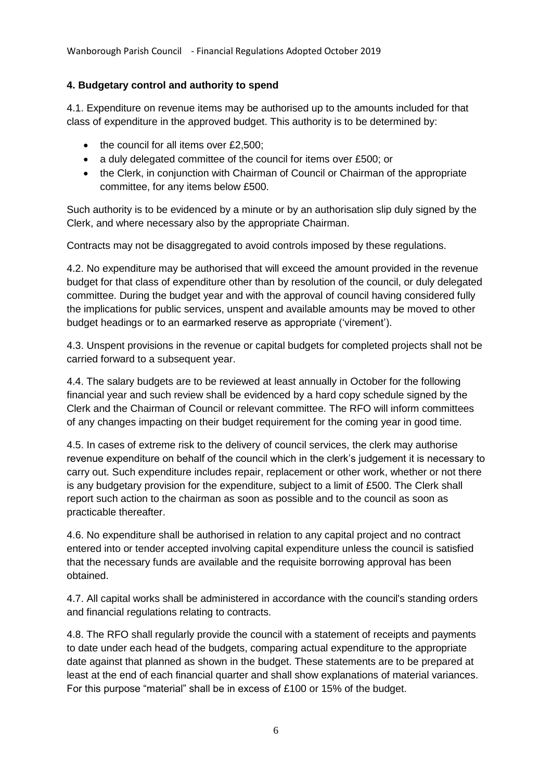Wanborough Parish Council - Financial Regulations Adopted October 2019

# **4. Budgetary control and authority to spend**

4.1. Expenditure on revenue items may be authorised up to the amounts included for that class of expenditure in the approved budget. This authority is to be determined by:

- $\bullet$  the council for all items over £2,500;
- a duly delegated committee of the council for items over £500; or
- the Clerk, in conjunction with Chairman of Council or Chairman of the appropriate committee, for any items below £500.

Such authority is to be evidenced by a minute or by an authorisation slip duly signed by the Clerk, and where necessary also by the appropriate Chairman.

Contracts may not be disaggregated to avoid controls imposed by these regulations.

4.2. No expenditure may be authorised that will exceed the amount provided in the revenue budget for that class of expenditure other than by resolution of the council, or duly delegated committee. During the budget year and with the approval of council having considered fully the implications for public services, unspent and available amounts may be moved to other budget headings or to an earmarked reserve as appropriate ('virement').

4.3. Unspent provisions in the revenue or capital budgets for completed projects shall not be carried forward to a subsequent year.

4.4. The salary budgets are to be reviewed at least annually in October for the following financial year and such review shall be evidenced by a hard copy schedule signed by the Clerk and the Chairman of Council or relevant committee. The RFO will inform committees of any changes impacting on their budget requirement for the coming year in good time.

4.5. In cases of extreme risk to the delivery of council services, the clerk may authorise revenue expenditure on behalf of the council which in the clerk's judgement it is necessary to carry out. Such expenditure includes repair, replacement or other work, whether or not there is any budgetary provision for the expenditure, subject to a limit of £500. The Clerk shall report such action to the chairman as soon as possible and to the council as soon as practicable thereafter.

4.6. No expenditure shall be authorised in relation to any capital project and no contract entered into or tender accepted involving capital expenditure unless the council is satisfied that the necessary funds are available and the requisite borrowing approval has been obtained.

4.7. All capital works shall be administered in accordance with the council's standing orders and financial regulations relating to contracts.

4.8. The RFO shall regularly provide the council with a statement of receipts and payments to date under each head of the budgets, comparing actual expenditure to the appropriate date against that planned as shown in the budget. These statements are to be prepared at least at the end of each financial quarter and shall show explanations of material variances. For this purpose "material" shall be in excess of £100 or 15% of the budget.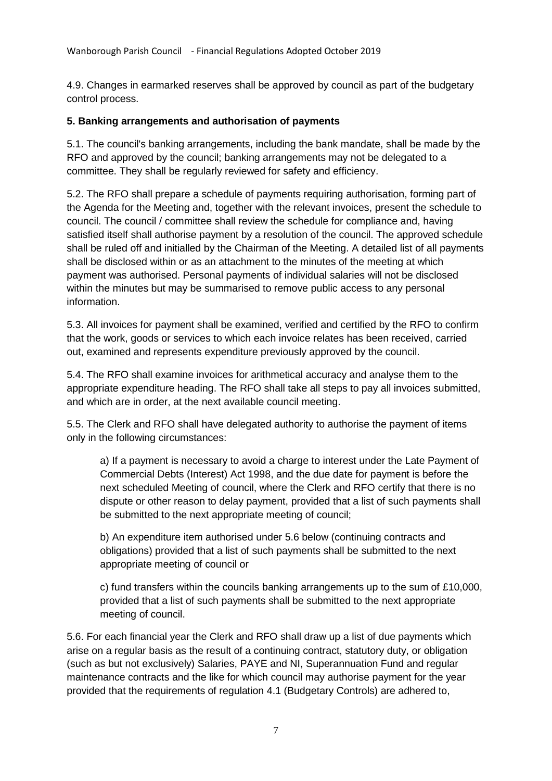4.9. Changes in earmarked reserves shall be approved by council as part of the budgetary control process.

#### **5. Banking arrangements and authorisation of payments**

5.1. The council's banking arrangements, including the bank mandate, shall be made by the RFO and approved by the council; banking arrangements may not be delegated to a committee. They shall be regularly reviewed for safety and efficiency.

5.2. The RFO shall prepare a schedule of payments requiring authorisation, forming part of the Agenda for the Meeting and, together with the relevant invoices, present the schedule to council. The council / committee shall review the schedule for compliance and, having satisfied itself shall authorise payment by a resolution of the council. The approved schedule shall be ruled off and initialled by the Chairman of the Meeting. A detailed list of all payments shall be disclosed within or as an attachment to the minutes of the meeting at which payment was authorised. Personal payments of individual salaries will not be disclosed within the minutes but may be summarised to remove public access to any personal information.

5.3. All invoices for payment shall be examined, verified and certified by the RFO to confirm that the work, goods or services to which each invoice relates has been received, carried out, examined and represents expenditure previously approved by the council.

5.4. The RFO shall examine invoices for arithmetical accuracy and analyse them to the appropriate expenditure heading. The RFO shall take all steps to pay all invoices submitted, and which are in order, at the next available council meeting.

5.5. The Clerk and RFO shall have delegated authority to authorise the payment of items only in the following circumstances:

a) If a payment is necessary to avoid a charge to interest under the Late Payment of Commercial Debts (Interest) Act 1998, and the due date for payment is before the next scheduled Meeting of council, where the Clerk and RFO certify that there is no dispute or other reason to delay payment, provided that a list of such payments shall be submitted to the next appropriate meeting of council;

b) An expenditure item authorised under 5.6 below (continuing contracts and obligations) provided that a list of such payments shall be submitted to the next appropriate meeting of council or

c) fund transfers within the councils banking arrangements up to the sum of £10,000, provided that a list of such payments shall be submitted to the next appropriate meeting of council.

5.6. For each financial year the Clerk and RFO shall draw up a list of due payments which arise on a regular basis as the result of a continuing contract, statutory duty, or obligation (such as but not exclusively) Salaries, PAYE and NI, Superannuation Fund and regular maintenance contracts and the like for which council may authorise payment for the year provided that the requirements of regulation 4.1 (Budgetary Controls) are adhered to,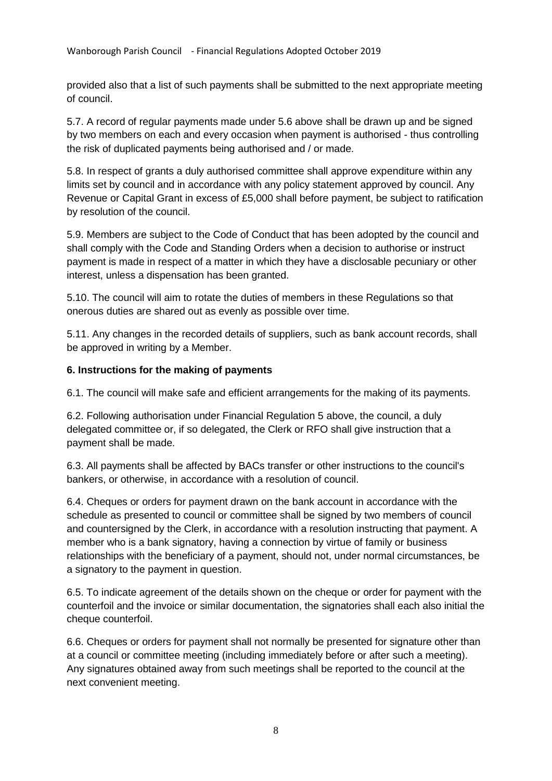provided also that a list of such payments shall be submitted to the next appropriate meeting of council.

5.7. A record of regular payments made under 5.6 above shall be drawn up and be signed by two members on each and every occasion when payment is authorised - thus controlling the risk of duplicated payments being authorised and / or made.

5.8. In respect of grants a duly authorised committee shall approve expenditure within any limits set by council and in accordance with any policy statement approved by council. Any Revenue or Capital Grant in excess of £5,000 shall before payment, be subject to ratification by resolution of the council.

5.9. Members are subject to the Code of Conduct that has been adopted by the council and shall comply with the Code and Standing Orders when a decision to authorise or instruct payment is made in respect of a matter in which they have a disclosable pecuniary or other interest, unless a dispensation has been granted.

5.10. The council will aim to rotate the duties of members in these Regulations so that onerous duties are shared out as evenly as possible over time.

5.11. Any changes in the recorded details of suppliers, such as bank account records, shall be approved in writing by a Member.

#### **6. Instructions for the making of payments**

6.1. The council will make safe and efficient arrangements for the making of its payments.

6.2. Following authorisation under Financial Regulation 5 above, the council, a duly delegated committee or, if so delegated, the Clerk or RFO shall give instruction that a payment shall be made.

6.3. All payments shall be affected by BACs transfer or other instructions to the council's bankers, or otherwise, in accordance with a resolution of council.

6.4. Cheques or orders for payment drawn on the bank account in accordance with the schedule as presented to council or committee shall be signed by two members of council and countersigned by the Clerk, in accordance with a resolution instructing that payment. A member who is a bank signatory, having a connection by virtue of family or business relationships with the beneficiary of a payment, should not, under normal circumstances, be a signatory to the payment in question.

6.5. To indicate agreement of the details shown on the cheque or order for payment with the counterfoil and the invoice or similar documentation, the signatories shall each also initial the cheque counterfoil.

6.6. Cheques or orders for payment shall not normally be presented for signature other than at a council or committee meeting (including immediately before or after such a meeting). Any signatures obtained away from such meetings shall be reported to the council at the next convenient meeting.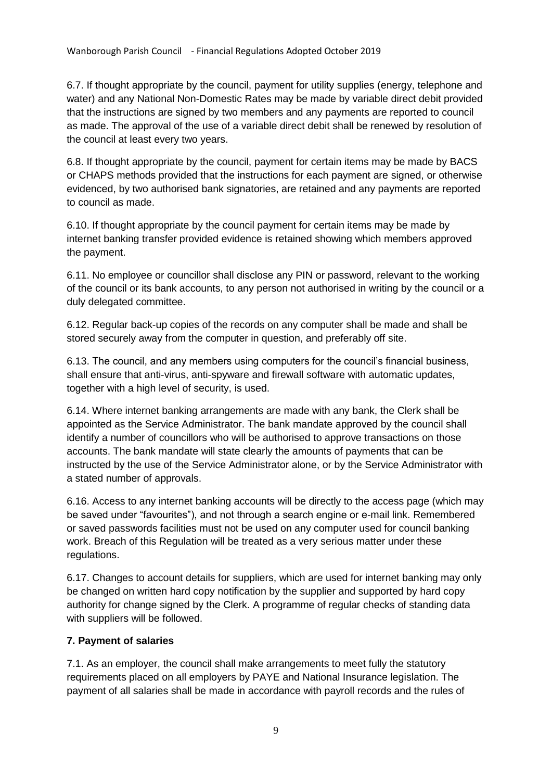6.7. If thought appropriate by the council, payment for utility supplies (energy, telephone and water) and any National Non-Domestic Rates may be made by variable direct debit provided that the instructions are signed by two members and any payments are reported to council as made. The approval of the use of a variable direct debit shall be renewed by resolution of the council at least every two years.

6.8. If thought appropriate by the council, payment for certain items may be made by BACS or CHAPS methods provided that the instructions for each payment are signed, or otherwise evidenced, by two authorised bank signatories, are retained and any payments are reported to council as made.

6.10. If thought appropriate by the council payment for certain items may be made by internet banking transfer provided evidence is retained showing which members approved the payment.

6.11. No employee or councillor shall disclose any PIN or password, relevant to the working of the council or its bank accounts, to any person not authorised in writing by the council or a duly delegated committee.

6.12. Regular back-up copies of the records on any computer shall be made and shall be stored securely away from the computer in question, and preferably off site.

6.13. The council, and any members using computers for the council's financial business, shall ensure that anti-virus, anti-spyware and firewall software with automatic updates, together with a high level of security, is used.

6.14. Where internet banking arrangements are made with any bank, the Clerk shall be appointed as the Service Administrator. The bank mandate approved by the council shall identify a number of councillors who will be authorised to approve transactions on those accounts. The bank mandate will state clearly the amounts of payments that can be instructed by the use of the Service Administrator alone, or by the Service Administrator with a stated number of approvals.

6.16. Access to any internet banking accounts will be directly to the access page (which may be saved under "favourites"), and not through a search engine or e-mail link. Remembered or saved passwords facilities must not be used on any computer used for council banking work. Breach of this Regulation will be treated as a very serious matter under these regulations.

6.17. Changes to account details for suppliers, which are used for internet banking may only be changed on written hard copy notification by the supplier and supported by hard copy authority for change signed by the Clerk. A programme of regular checks of standing data with suppliers will be followed.

# **7. Payment of salaries**

7.1. As an employer, the council shall make arrangements to meet fully the statutory requirements placed on all employers by PAYE and National Insurance legislation. The payment of all salaries shall be made in accordance with payroll records and the rules of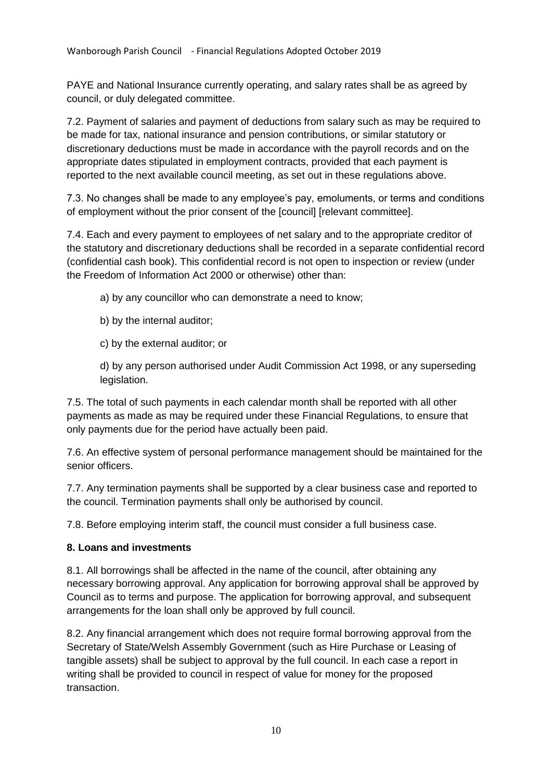PAYE and National Insurance currently operating, and salary rates shall be as agreed by council, or duly delegated committee.

7.2. Payment of salaries and payment of deductions from salary such as may be required to be made for tax, national insurance and pension contributions, or similar statutory or discretionary deductions must be made in accordance with the payroll records and on the appropriate dates stipulated in employment contracts, provided that each payment is reported to the next available council meeting, as set out in these regulations above.

7.3. No changes shall be made to any employee's pay, emoluments, or terms and conditions of employment without the prior consent of the [council] [relevant committee].

7.4. Each and every payment to employees of net salary and to the appropriate creditor of the statutory and discretionary deductions shall be recorded in a separate confidential record (confidential cash book). This confidential record is not open to inspection or review (under the Freedom of Information Act 2000 or otherwise) other than:

a) by any councillor who can demonstrate a need to know;

- b) by the internal auditor;
- c) by the external auditor; or

d) by any person authorised under Audit Commission Act 1998, or any superseding legislation.

7.5. The total of such payments in each calendar month shall be reported with all other payments as made as may be required under these Financial Regulations, to ensure that only payments due for the period have actually been paid.

7.6. An effective system of personal performance management should be maintained for the senior officers.

7.7. Any termination payments shall be supported by a clear business case and reported to the council. Termination payments shall only be authorised by council.

7.8. Before employing interim staff, the council must consider a full business case.

# **8. Loans and investments**

8.1. All borrowings shall be affected in the name of the council, after obtaining any necessary borrowing approval. Any application for borrowing approval shall be approved by Council as to terms and purpose. The application for borrowing approval, and subsequent arrangements for the loan shall only be approved by full council.

8.2. Any financial arrangement which does not require formal borrowing approval from the Secretary of State/Welsh Assembly Government (such as Hire Purchase or Leasing of tangible assets) shall be subject to approval by the full council. In each case a report in writing shall be provided to council in respect of value for money for the proposed transaction.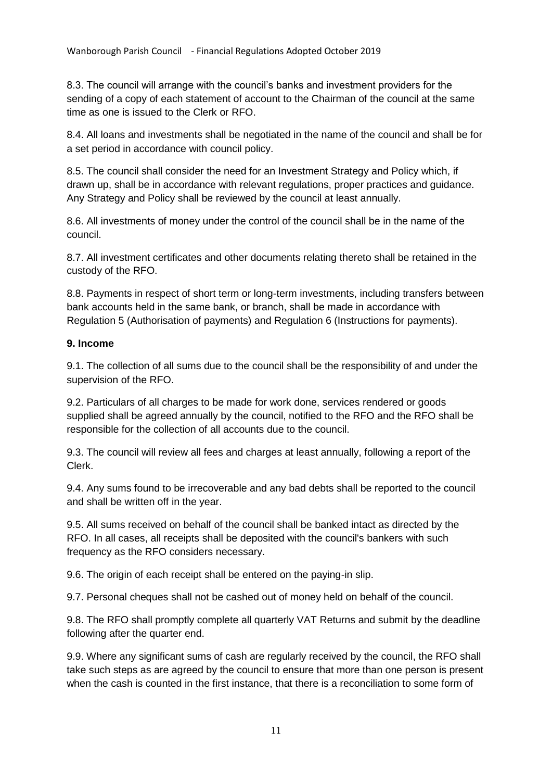8.3. The council will arrange with the council's banks and investment providers for the sending of a copy of each statement of account to the Chairman of the council at the same time as one is issued to the Clerk or RFO.

8.4. All loans and investments shall be negotiated in the name of the council and shall be for a set period in accordance with council policy.

8.5. The council shall consider the need for an Investment Strategy and Policy which, if drawn up, shall be in accordance with relevant regulations, proper practices and guidance. Any Strategy and Policy shall be reviewed by the council at least annually.

8.6. All investments of money under the control of the council shall be in the name of the council.

8.7. All investment certificates and other documents relating thereto shall be retained in the custody of the RFO.

8.8. Payments in respect of short term or long-term investments, including transfers between bank accounts held in the same bank, or branch, shall be made in accordance with Regulation 5 (Authorisation of payments) and Regulation 6 (Instructions for payments).

#### **9. Income**

9.1. The collection of all sums due to the council shall be the responsibility of and under the supervision of the RFO.

9.2. Particulars of all charges to be made for work done, services rendered or goods supplied shall be agreed annually by the council, notified to the RFO and the RFO shall be responsible for the collection of all accounts due to the council.

9.3. The council will review all fees and charges at least annually, following a report of the Clerk.

9.4. Any sums found to be irrecoverable and any bad debts shall be reported to the council and shall be written off in the year.

9.5. All sums received on behalf of the council shall be banked intact as directed by the RFO. In all cases, all receipts shall be deposited with the council's bankers with such frequency as the RFO considers necessary.

9.6. The origin of each receipt shall be entered on the paying-in slip.

9.7. Personal cheques shall not be cashed out of money held on behalf of the council.

9.8. The RFO shall promptly complete all quarterly VAT Returns and submit by the deadline following after the quarter end.

9.9. Where any significant sums of cash are regularly received by the council, the RFO shall take such steps as are agreed by the council to ensure that more than one person is present when the cash is counted in the first instance, that there is a reconciliation to some form of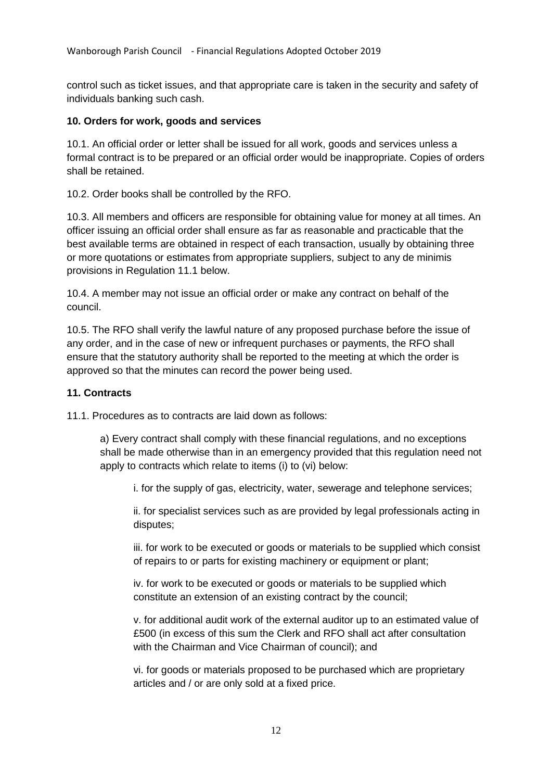control such as ticket issues, and that appropriate care is taken in the security and safety of individuals banking such cash.

#### **10. Orders for work, goods and services**

10.1. An official order or letter shall be issued for all work, goods and services unless a formal contract is to be prepared or an official order would be inappropriate. Copies of orders shall be retained.

10.2. Order books shall be controlled by the RFO.

10.3. All members and officers are responsible for obtaining value for money at all times. An officer issuing an official order shall ensure as far as reasonable and practicable that the best available terms are obtained in respect of each transaction, usually by obtaining three or more quotations or estimates from appropriate suppliers, subject to any de minimis provisions in Regulation 11.1 below.

10.4. A member may not issue an official order or make any contract on behalf of the council.

10.5. The RFO shall verify the lawful nature of any proposed purchase before the issue of any order, and in the case of new or infrequent purchases or payments, the RFO shall ensure that the statutory authority shall be reported to the meeting at which the order is approved so that the minutes can record the power being used.

#### **11. Contracts**

11.1. Procedures as to contracts are laid down as follows:

a) Every contract shall comply with these financial regulations, and no exceptions shall be made otherwise than in an emergency provided that this regulation need not apply to contracts which relate to items (i) to (vi) below:

i. for the supply of gas, electricity, water, sewerage and telephone services;

ii. for specialist services such as are provided by legal professionals acting in disputes;

iii. for work to be executed or goods or materials to be supplied which consist of repairs to or parts for existing machinery or equipment or plant;

iv. for work to be executed or goods or materials to be supplied which constitute an extension of an existing contract by the council;

v. for additional audit work of the external auditor up to an estimated value of £500 (in excess of this sum the Clerk and RFO shall act after consultation with the Chairman and Vice Chairman of council); and

vi. for goods or materials proposed to be purchased which are proprietary articles and / or are only sold at a fixed price.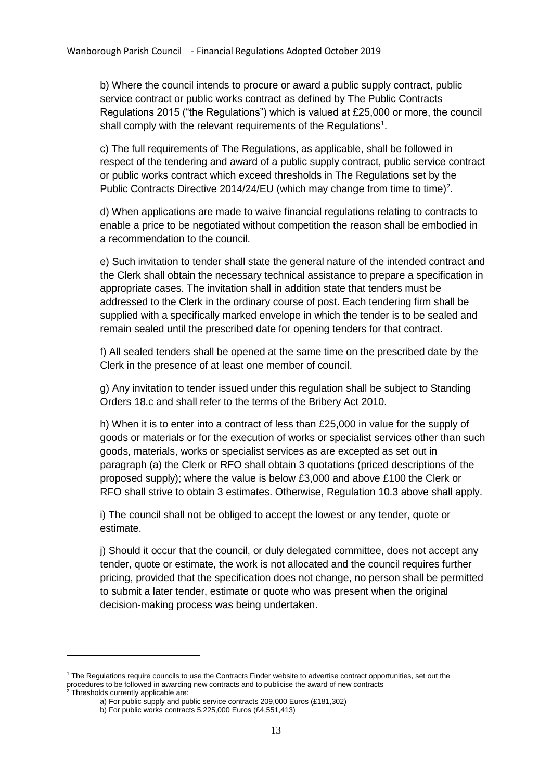b) Where the council intends to procure or award a public supply contract, public service contract or public works contract as defined by The Public Contracts Regulations 2015 ("the Regulations") which is valued at £25,000 or more, the council shall comply with the relevant requirements of the Regulations<sup>1</sup>.

c) The full requirements of The Regulations, as applicable, shall be followed in respect of the tendering and award of a public supply contract, public service contract or public works contract which exceed thresholds in The Regulations set by the Public Contracts Directive 2014/24/EU (which may change from time to time)<sup>2</sup>.

d) When applications are made to waive financial regulations relating to contracts to enable a price to be negotiated without competition the reason shall be embodied in a recommendation to the council.

e) Such invitation to tender shall state the general nature of the intended contract and the Clerk shall obtain the necessary technical assistance to prepare a specification in appropriate cases. The invitation shall in addition state that tenders must be addressed to the Clerk in the ordinary course of post. Each tendering firm shall be supplied with a specifically marked envelope in which the tender is to be sealed and remain sealed until the prescribed date for opening tenders for that contract.

f) All sealed tenders shall be opened at the same time on the prescribed date by the Clerk in the presence of at least one member of council.

g) Any invitation to tender issued under this regulation shall be subject to Standing Orders 18.c and shall refer to the terms of the Bribery Act 2010.

h) When it is to enter into a contract of less than £25,000 in value for the supply of goods or materials or for the execution of works or specialist services other than such goods, materials, works or specialist services as are excepted as set out in paragraph (a) the Clerk or RFO shall obtain 3 quotations (priced descriptions of the proposed supply); where the value is below £3,000 and above £100 the Clerk or RFO shall strive to obtain 3 estimates. Otherwise, Regulation 10.3 above shall apply.

i) The council shall not be obliged to accept the lowest or any tender, quote or estimate.

j) Should it occur that the council, or duly delegated committee, does not accept any tender, quote or estimate, the work is not allocated and the council requires further pricing, provided that the specification does not change, no person shall be permitted to submit a later tender, estimate or quote who was present when the original decision-making process was being undertaken.

**.** 

<sup>1</sup> The Regulations require councils to use the Contracts Finder website to advertise contract opportunities, set out the procedures to be followed in awarding new contracts and to publicise the award of new contracts

 $2$  Thresholds currently applicable are:

a) For public supply and public service contracts 209,000 Euros (£181,302)

b) For public works contracts 5,225,000 Euros (£4,551,413)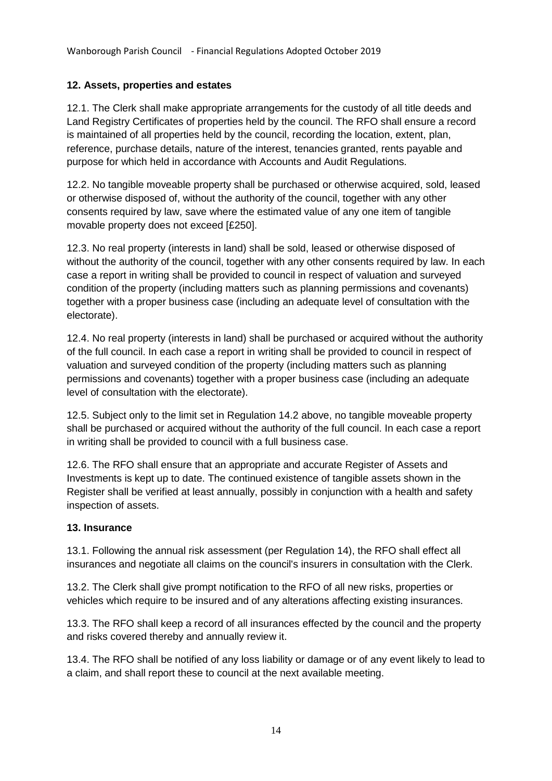# **12. Assets, properties and estates**

12.1. The Clerk shall make appropriate arrangements for the custody of all title deeds and Land Registry Certificates of properties held by the council. The RFO shall ensure a record is maintained of all properties held by the council, recording the location, extent, plan, reference, purchase details, nature of the interest, tenancies granted, rents payable and purpose for which held in accordance with Accounts and Audit Regulations.

12.2. No tangible moveable property shall be purchased or otherwise acquired, sold, leased or otherwise disposed of, without the authority of the council, together with any other consents required by law, save where the estimated value of any one item of tangible movable property does not exceed [£250].

12.3. No real property (interests in land) shall be sold, leased or otherwise disposed of without the authority of the council, together with any other consents required by law. In each case a report in writing shall be provided to council in respect of valuation and surveyed condition of the property (including matters such as planning permissions and covenants) together with a proper business case (including an adequate level of consultation with the electorate).

12.4. No real property (interests in land) shall be purchased or acquired without the authority of the full council. In each case a report in writing shall be provided to council in respect of valuation and surveyed condition of the property (including matters such as planning permissions and covenants) together with a proper business case (including an adequate level of consultation with the electorate).

12.5. Subject only to the limit set in Regulation 14.2 above, no tangible moveable property shall be purchased or acquired without the authority of the full council. In each case a report in writing shall be provided to council with a full business case.

12.6. The RFO shall ensure that an appropriate and accurate Register of Assets and Investments is kept up to date. The continued existence of tangible assets shown in the Register shall be verified at least annually, possibly in conjunction with a health and safety inspection of assets.

#### **13. Insurance**

13.1. Following the annual risk assessment (per Regulation 14), the RFO shall effect all insurances and negotiate all claims on the council's insurers in consultation with the Clerk.

13.2. The Clerk shall give prompt notification to the RFO of all new risks, properties or vehicles which require to be insured and of any alterations affecting existing insurances.

13.3. The RFO shall keep a record of all insurances effected by the council and the property and risks covered thereby and annually review it.

13.4. The RFO shall be notified of any loss liability or damage or of any event likely to lead to a claim, and shall report these to council at the next available meeting.